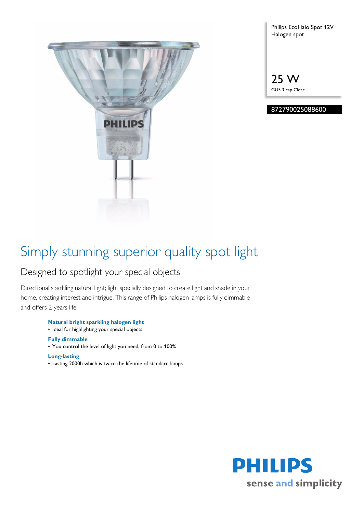

| Philips EcoHalo Spot 12V<br>Halogen spot |
|------------------------------------------|
|                                          |
| 25 W                                     |

GU5.3 cap Clear

## 872790025088600

# Simply stunning superior quality spot light

# Designed to spotlight your special objects

Directional sparkling natural light; light specially designed to create light and shade in your home, creating interest and intrigue. This range of Philips halogen lamps is fully dimmable and offers 2 years life.

**Natural bright sparkling halogen light**

• Ideal for highlighting your special objects

### **Fully dimmable**

• You control the level of light you need, from 0 to 100%

### **Long-lasting**

• Lasting 2000h which is twice the lifetime of standard lamps